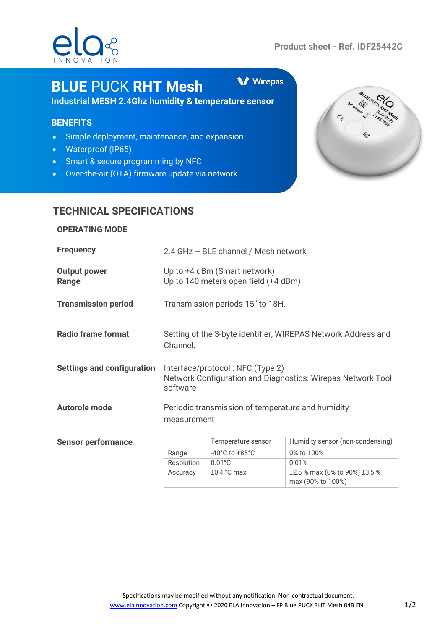

**V** Wirepas

# **BLUE** PUCK **RHT Mesh**

**Industrial MESH 2.4Ghz humidity & temperature sensor**

## **BENEFITS**

- Simple deployment, maintenance, and expansion
- Waterproof (IP65)
- Smart & secure programming by NFC
- Over-the-air (OTA) firmware update via network



# **TECHNICAL SPECIFICATIONS**

#### **OPERATING MODE**

| <b>Frequency</b>                  | 2.4 GHz - BLE channel / Mesh network                                                                        |                                    |                                  |
|-----------------------------------|-------------------------------------------------------------------------------------------------------------|------------------------------------|----------------------------------|
| <b>Output power</b><br>Range      | Up to +4 dBm (Smart network)<br>Up to 140 meters open field (+4 dBm)                                        |                                    |                                  |
| <b>Transmission period</b>        | Transmission periods 15" to 18H.                                                                            |                                    |                                  |
| <b>Radio frame format</b>         | Setting of the 3-byte identifier, WIREPAS Network Address and<br>Channel.                                   |                                    |                                  |
| <b>Settings and configuration</b> | Interface/protocol: NFC (Type 2)<br>Network Configuration and Diagnostics: Wirepas Network Tool<br>software |                                    |                                  |
| <b>Autorole mode</b>              | Periodic transmission of temperature and humidity<br>measurement                                            |                                    |                                  |
| <b>Sensor performance</b>         |                                                                                                             | Temperature sensor                 | Humidity sensor (non-condensing) |
|                                   | Range                                                                                                       | $-40^{\circ}$ C to $+85^{\circ}$ C | 0% to 100%                       |
|                                   | Resolution                                                                                                  | $0.01^{\circ}$ C                   | 0.01%                            |
|                                   | Accuracy                                                                                                    | $\pm 0.4$ °C max                   | ±2,5 % max (0% to 90%) ±3,5 %    |

max (90% to 100%)